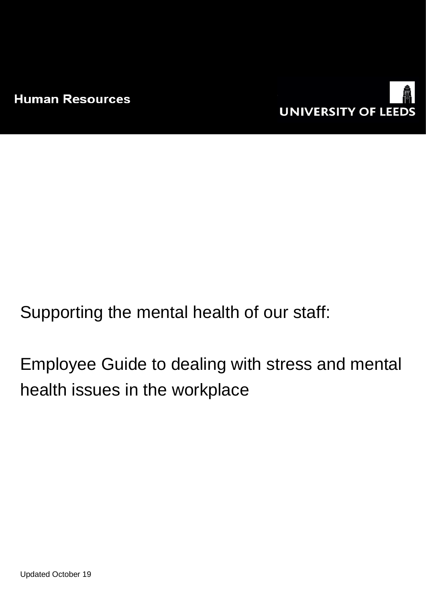

Supporting the mental health of our staff:

Employee Guide to dealing with stress and mental health issues in the workplace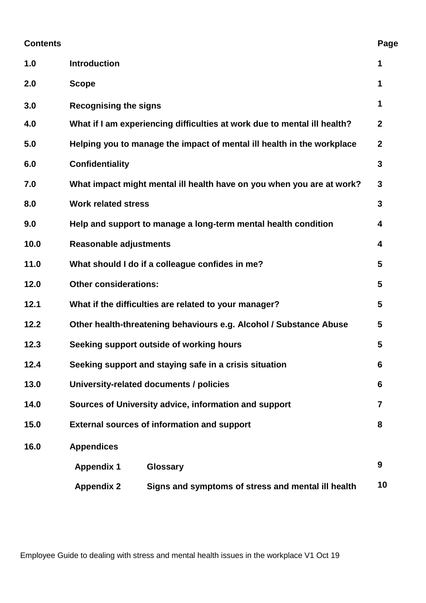| <b>Contents</b> |                                                                          | Page |  |
|-----------------|--------------------------------------------------------------------------|------|--|
| 1.0             | <b>Introduction</b>                                                      | 1    |  |
| 2.0             | <b>Scope</b>                                                             | 1    |  |
| 3.0             | <b>Recognising the signs</b>                                             |      |  |
| 4.0             | What if I am experiencing difficulties at work due to mental ill health? |      |  |
| 5.0             | Helping you to manage the impact of mental ill health in the workplace   |      |  |
| 6.0             | <b>Confidentiality</b>                                                   |      |  |
| 7.0             | What impact might mental ill health have on you when you are at work?    |      |  |
| 8.0             | <b>Work related stress</b>                                               |      |  |
| 9.0             | Help and support to manage a long-term mental health condition           |      |  |
| 10.0            | <b>Reasonable adjustments</b>                                            |      |  |
| 11.0            | What should I do if a colleague confides in me?                          |      |  |
| 12.0            | <b>Other considerations:</b>                                             |      |  |
| 12.1            | What if the difficulties are related to your manager?                    |      |  |
| 12.2            | Other health-threatening behaviours e.g. Alcohol / Substance Abuse       |      |  |
| 12.3            | Seeking support outside of working hours                                 |      |  |
| 12.4            | Seeking support and staying safe in a crisis situation                   |      |  |
| 13.0            | University-related documents / policies                                  |      |  |
| 14.0            | Sources of University advice, information and support                    |      |  |
| 15.0            | <b>External sources of information and support</b>                       |      |  |
| 16.0            | <b>Appendices</b>                                                        |      |  |
|                 | Glossary<br><b>Appendix 1</b>                                            | 9    |  |
|                 | <b>Appendix 2</b><br>Signs and symptoms of stress and mental ill health  | 10   |  |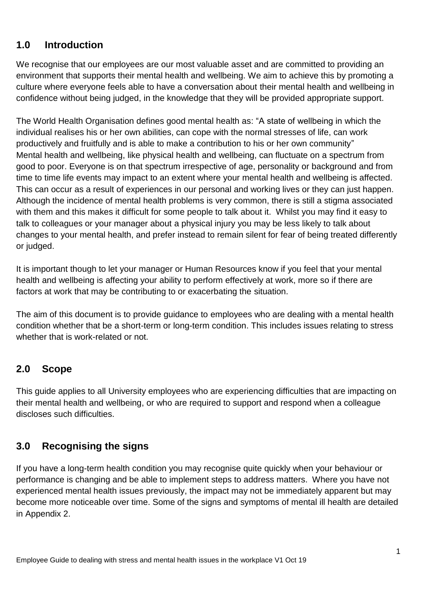### **1.0 Introduction**

We recognise that our employees are our most valuable asset and are committed to providing an environment that supports their mental health and wellbeing. We aim to achieve this by promoting a culture where everyone feels able to have a conversation about their mental health and wellbeing in confidence without being judged, in the knowledge that they will be provided appropriate support.

The World Health Organisation defines good mental health as: "A state of wellbeing in which the individual realises his or her own abilities, can cope with the normal stresses of life, can work productively and fruitfully and is able to make a contribution to his or her own community" Mental health and wellbeing, like physical health and wellbeing, can fluctuate on a spectrum from good to poor. Everyone is on that spectrum irrespective of age, personality or background and from time to time life events may impact to an extent where your mental health and wellbeing is affected. This can occur as a result of experiences in our personal and working lives or they can just happen. Although the incidence of mental health problems is very common, there is still a stigma associated with them and this makes it difficult for some people to talk about it. Whilst you may find it easy to talk to colleagues or your manager about a physical injury you may be less likely to talk about changes to your mental health, and prefer instead to remain silent for fear of being treated differently or judged.

It is important though to let your manager or Human Resources know if you feel that your mental health and wellbeing is affecting your ability to perform effectively at work, more so if there are factors at work that may be contributing to or exacerbating the situation.

The aim of this document is to provide guidance to employees who are dealing with a mental health condition whether that be a short-term or long-term condition. This includes issues relating to stress whether that is work-related or not.

#### **2.0 Scope**

This guide applies to all University employees who are experiencing difficulties that are impacting on their mental health and wellbeing, or who are required to support and respond when a colleague discloses such difficulties.

## **3.0 Recognising the signs**

If you have a long-term health condition you may recognise quite quickly when your behaviour or performance is changing and be able to implement steps to address matters. Where you have not experienced mental health issues previously, the impact may not be immediately apparent but may become more noticeable over time. Some of the signs and symptoms of mental ill health are detailed in Appendix 2.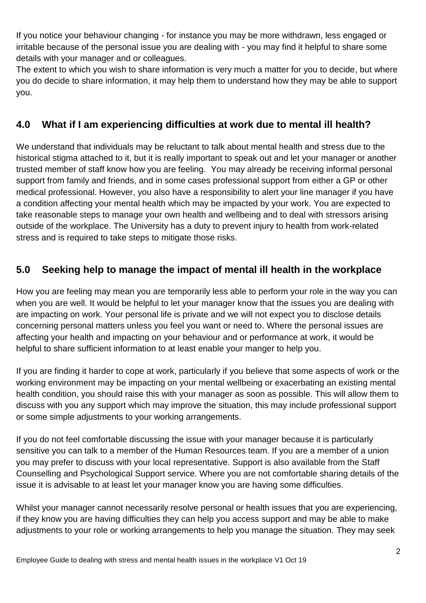If you notice your behaviour changing - for instance you may be more withdrawn, less engaged or irritable because of the personal issue you are dealing with - you may find it helpful to share some details with your manager and or colleagues.

The extent to which you wish to share information is very much a matter for you to decide, but where you do decide to share information, it may help them to understand how they may be able to support you.

### **4.0 What if I am experiencing difficulties at work due to mental ill health?**

We understand that individuals may be reluctant to talk about mental health and stress due to the historical stigma attached to it, but it is really important to speak out and let your manager or another trusted member of staff know how you are feeling. You may already be receiving informal personal support from family and friends, and in some cases professional support from either a GP or other medical professional. However, you also have a responsibility to alert your line manager if you have a condition affecting your mental health which may be impacted by your work. You are expected to take reasonable steps to manage your own health and wellbeing and to deal with stressors arising outside of the workplace. The University has a duty to prevent injury to health from work-related stress and is required to take steps to mitigate those risks.

### **5.0 Seeking help to manage the impact of mental ill health in the workplace**

How you are feeling may mean you are temporarily less able to perform your role in the way you can when you are well. It would be helpful to let your manager know that the issues you are dealing with are impacting on work. Your personal life is private and we will not expect you to disclose details concerning personal matters unless you feel you want or need to. Where the personal issues are affecting your health and impacting on your behaviour and or performance at work, it would be helpful to share sufficient information to at least enable your manger to help you.

If you are finding it harder to cope at work, particularly if you believe that some aspects of work or the working environment may be impacting on your mental wellbeing or exacerbating an existing mental health condition, you should raise this with your manager as soon as possible. This will allow them to discuss with you any support which may improve the situation, this may include professional support or some simple adjustments to your working arrangements.

If you do not feel comfortable discussing the issue with your manager because it is particularly sensitive you can talk to a member of the Human Resources team. If you are a member of a union you may prefer to discuss with your local representative. Support is also available from the Staff Counselling and Psychological Support service. Where you are not comfortable sharing details of the issue it is advisable to at least let your manager know you are having some difficulties.

Whilst your manager cannot necessarily resolve personal or health issues that you are experiencing, if they know you are having difficulties they can help you access support and may be able to make adjustments to your role or working arrangements to help you manage the situation. They may seek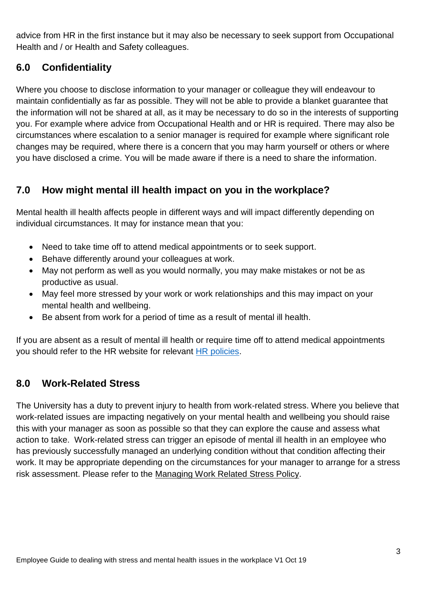advice from HR in the first instance but it may also be necessary to seek support from Occupational Health and / or Health and Safety colleagues.

### **6.0 Confidentiality**

Where you choose to disclose information to your manager or colleague they will endeavour to maintain confidentially as far as possible. They will not be able to provide a blanket guarantee that the information will not be shared at all, as it may be necessary to do so in the interests of supporting you. For example where advice from Occupational Health and or HR is required. There may also be circumstances where escalation to a senior manager is required for example where significant role changes may be required, where there is a concern that you may harm yourself or others or where you have disclosed a crime. You will be made aware if there is a need to share the information.

### **7.0 How might mental ill health impact on you in the workplace?**

Mental health ill health affects people in different ways and will impact differently depending on individual circumstances. It may for instance mean that you:

- Need to take time off to attend medical appointments or to seek support.
- Behave differently around your colleagues at work.
- May not perform as well as you would normally, you may make mistakes or not be as productive as usual.
- May feel more stressed by your work or work relationships and this may impact on your mental health and wellbeing.
- Be absent from work for a period of time as a result of mental ill health.

If you are absent as a result of mental ill health or require time off to attend medical appointments you should refer to the HR website for relevant [HR policies.](http://leeds.ac.uk/policies)

#### **8.0 Work-Related Stress**

The University has a duty to prevent injury to health from work-related stress. Where you believe that work-related issues are impacting negatively on your mental health and wellbeing you should raise this with your manager as soon as possible so that they can explore the cause and assess what action to take. Work-related stress can trigger an episode of mental ill health in an employee who has previously successfully managed an underlying condition without that condition affecting their work. It may be appropriate depending on the circumstances for your manager to arrange for a stress risk assessment. Please refer to the [Managing Work Related Stress Policy.](http://hr.leeds.ac.uk/info/34/support_and_wellbeing/39/managing_stress_at_work)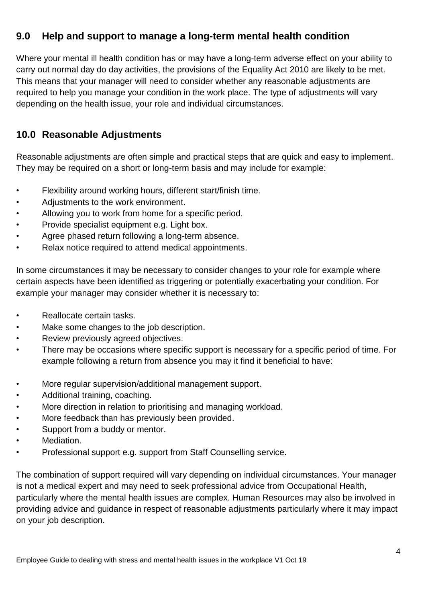### **9.0 Help and support to manage a long-term mental health condition**

Where your mental ill health condition has or may have a long-term adverse effect on your ability to carry out normal day do day activities, the provisions of the Equality Act 2010 are likely to be met. This means that your manager will need to consider whether any reasonable adjustments are required to help you manage your condition in the work place. The type of adjustments will vary depending on the health issue, your role and individual circumstances.

#### **10.0 Reasonable Adjustments**

Reasonable adjustments are often simple and practical steps that are quick and easy to implement. They may be required on a short or long-term basis and may include for example:

- Flexibility around working hours, different start/finish time.
- Adjustments to the work environment.
- Allowing you to work from home for a specific period.
- Provide specialist equipment e.g. Light box.
- Agree phased return following a long-term absence.
- Relax notice required to attend medical appointments.

In some circumstances it may be necessary to consider changes to your role for example where certain aspects have been identified as triggering or potentially exacerbating your condition. For example your manager may consider whether it is necessary to:

- Reallocate certain tasks.
- Make some changes to the job description.
- Review previously agreed objectives.
- There may be occasions where specific support is necessary for a specific period of time. For example following a return from absence you may it find it beneficial to have:
- More regular supervision/additional management support.
- Additional training, coaching.
- More direction in relation to prioritising and managing workload.
- More feedback than has previously been provided.
- Support from a buddy or mentor.
- Mediation.
- Professional support e.g. support from Staff Counselling service.

The combination of support required will vary depending on individual circumstances. Your manager is not a medical expert and may need to seek professional advice from Occupational Health, particularly where the mental health issues are complex. Human Resources may also be involved in providing advice and guidance in respect of reasonable adjustments particularly where it may impact on your job description.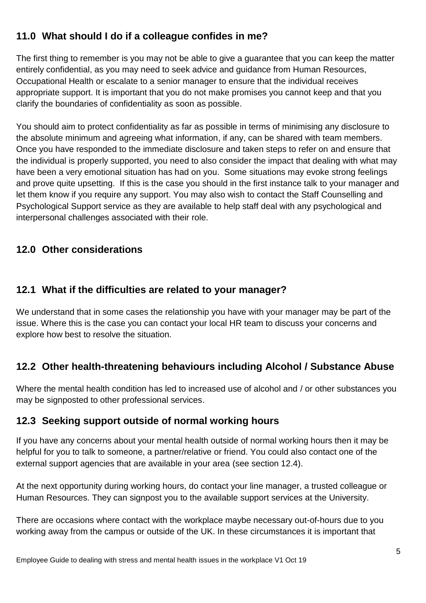## **11.0 What should I do if a colleague confides in me?**

The first thing to remember is you may not be able to give a guarantee that you can keep the matter entirely confidential, as you may need to seek advice and guidance from Human Resources, Occupational Health or escalate to a senior manager to ensure that the individual receives appropriate support. It is important that you do not make promises you cannot keep and that you clarify the boundaries of confidentiality as soon as possible.

You should aim to protect confidentiality as far as possible in terms of minimising any disclosure to the absolute minimum and agreeing what information, if any, can be shared with team members. Once you have responded to the immediate disclosure and taken steps to refer on and ensure that the individual is properly supported, you need to also consider the impact that dealing with what may have been a very emotional situation has had on you. Some situations may evoke strong feelings and prove quite upsetting. If this is the case you should in the first instance talk to your manager and let them know if you require any support. You may also wish to contact the Staff Counselling and Psychological Support service as they are available to help staff deal with any psychological and interpersonal challenges associated with their role.

#### **12.0 Other considerations**

### **12.1 What if the difficulties are related to your manager?**

We understand that in some cases the relationship you have with your manager may be part of the issue. Where this is the case you can contact your local HR team to discuss your concerns and explore how best to resolve the situation.

## **12.2 Other health-threatening behaviours including Alcohol / Substance Abuse**

Where the mental health condition has led to increased use of alcohol and / or other substances you may be signposted to other professional services.

## **12.3 Seeking support outside of normal working hours**

If you have any concerns about your mental health outside of normal working hours then it may be helpful for you to talk to someone, a partner/relative or friend. You could also contact one of the external support agencies that are available in your area (see section 12.4).

At the next opportunity during working hours, do contact your line manager, a trusted colleague or Human Resources. They can signpost you to the available support services at the University.

There are occasions where contact with the workplace maybe necessary out-of-hours due to you working away from the campus or outside of the UK. In these circumstances it is important that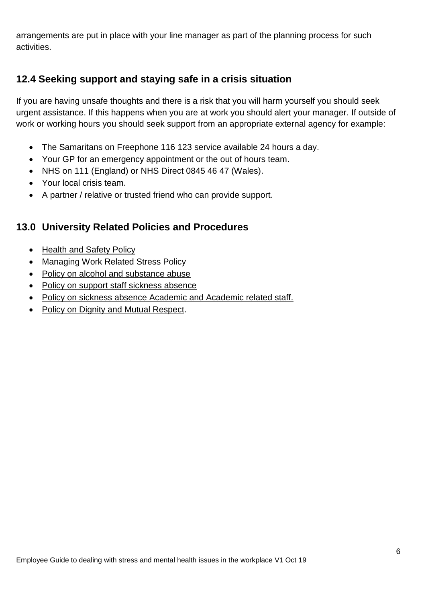arrangements are put in place with your line manager as part of the planning process for such activities.

## **12.4 Seeking support and staying safe in a crisis situation**

If you are having unsafe thoughts and there is a risk that you will harm yourself you should seek urgent assistance. If this happens when you are at work you should alert your manager. If outside of work or working hours you should seek support from an appropriate external agency for example:

- The Samaritans on Freephone 116 123 service available 24 hours a day.
- Your GP for an emergency appointment or the out of hours team.
- NHS on 111 (England) or NHS Direct 0845 46 47 (Wales).
- Your local crisis team.
- A partner / relative or trusted friend who can provide support.

#### **13.0 University Related Policies and Procedures**

- [Health and Safety Policy](http://wsh.leeds.ac.uk/info/137/health_and_safety_policy/125/health_and_safety_policy)
- [Managing Work Related Stress Policy](http://hr.leeds.ac.uk/info/34/support_and_wellbeing/39/managing_stress_at_work)
- [Policy on alcohol and substance abuse](http://hr.leeds.ac.uk/info/34/support_and_wellbeing/166/alcohol_and_substance_abuse)
- [Policy on support staff sickness absence](http://hr.leeds.ac.uk/info/38/sickness_absence/41/support_staff_sickness_absence)
- [Policy on sickness absence Academic and Academic related staff.](http://hr.leeds.ac.uk/info/38/sickness_absence/170/academic_academic_related_professional_and_managerial_staff_sickness_absence)
- [Policy on Dignity and Mutual Respect.](http://hr.leeds.ac.uk/info/34/support_and_wellbeing/24/dignity_and_mutual_respectalcohol_and_substance_abuse)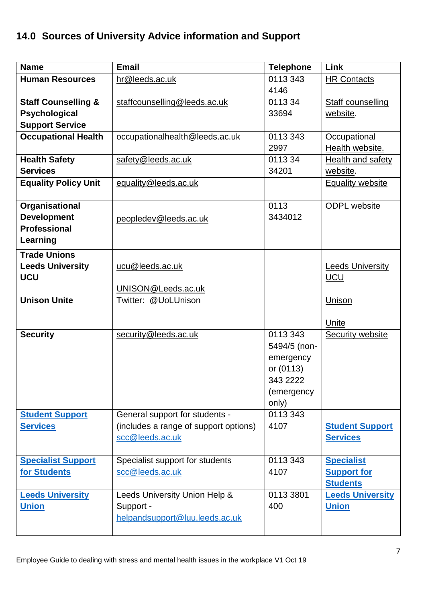# **14.0 Sources of University Advice information and Support**

| <b>Name</b>                                                                         | <b>Email</b>                                                                               | <b>Telephone</b>                                                                      | Link                                                       |
|-------------------------------------------------------------------------------------|--------------------------------------------------------------------------------------------|---------------------------------------------------------------------------------------|------------------------------------------------------------|
| <b>Human Resources</b>                                                              | hr@leeds.ac.uk                                                                             | 0113 343<br>4146                                                                      | <b>HR Contacts</b>                                         |
| <b>Staff Counselling &amp;</b><br>Psychological<br><b>Support Service</b>           | staffcounselling@leeds.ac.uk                                                               | 011334<br>33694                                                                       | Staff counselling<br>website.                              |
| <b>Occupational Health</b>                                                          | occupationalhealth@leeds.ac.uk                                                             | 0113 343<br>2997                                                                      | Occupational<br>Health website.                            |
| <b>Health Safety</b><br><b>Services</b>                                             | safety@leeds.ac.uk                                                                         | 011334<br>34201                                                                       | <b>Health and safety</b><br>website.                       |
| <b>Equality Policy Unit</b>                                                         | equality@leeds.ac.uk                                                                       |                                                                                       | <b>Equality website</b>                                    |
| Organisational<br><b>Development</b><br><b>Professional</b><br>Learning             | peopledev@leeds.ac.uk                                                                      | 0113<br>3434012                                                                       | <b>ODPL</b> website                                        |
| <b>Trade Unions</b><br><b>Leeds University</b><br><b>UCU</b><br><b>Unison Unite</b> | ucu@leeds.ac.uk<br>UNISON@Leeds.ac.uk<br>Twitter: @UoLUnison                               |                                                                                       | <b>Leeds University</b><br><b>UCU</b><br>Unison<br>Unite   |
| <b>Security</b>                                                                     | security@leeds.ac.uk                                                                       | 0113 343<br>5494/5 (non-<br>emergency<br>or (0113)<br>343 2222<br>(emergency<br>only) | <b>Security website</b>                                    |
| <b>Student Support</b><br><b>Services</b>                                           | General support for students -<br>(includes a range of support options)<br>scc@leeds.ac.uk | 0113 343<br>4107                                                                      | <b>Student Support</b><br><b>Services</b>                  |
| <b>Specialist Support</b><br>for Students                                           | Specialist support for students<br>scc@leeds.ac.uk                                         | 0113 343<br>4107                                                                      | <b>Specialist</b><br><b>Support for</b><br><b>Students</b> |
| <b>Leeds University</b><br><b>Union</b>                                             | Leeds University Union Help &<br>Support -<br>helpandsupport@luu.leeds.ac.uk               | 0113 3801<br>400                                                                      | <b>Leeds University</b><br><b>Union</b>                    |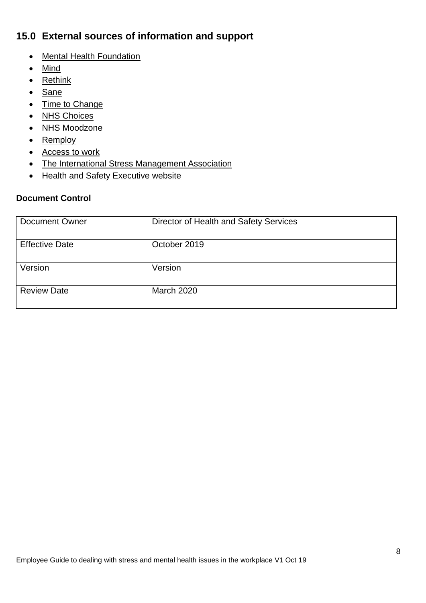## **15.0 External sources of information and support**

- [Mental Health Foundation](https://www.mentalhealth.org.uk/)
- [Mind](https://www.mind.org.uk/)
- [Rethink](https://www.rethink.org/)
- [Sane](http://www.sane.org.uk/)
- [Time to Change](https://www.time-to-change.org.uk/)
- [NHS Choices](http://www.nhs.uk/livewell/mentalhealth)
- [NHS Moodzone](https://www.nhs.uk/conditions/stress-anxiety-depression/)
- [Remploy](https://remploy.co.uk/)
- [Access to work](https://www.gov.uk/access-to-work)
- [The International Stress Management Association](https://isma.or.uk/)
- [Health and Safety Executive website](https://www.hse.gov.uk/)

#### **Document Control**

| Document Owner        | Director of Health and Safety Services |
|-----------------------|----------------------------------------|
| <b>Effective Date</b> | October 2019                           |
| Version               | Version                                |
| <b>Review Date</b>    | <b>March 2020</b>                      |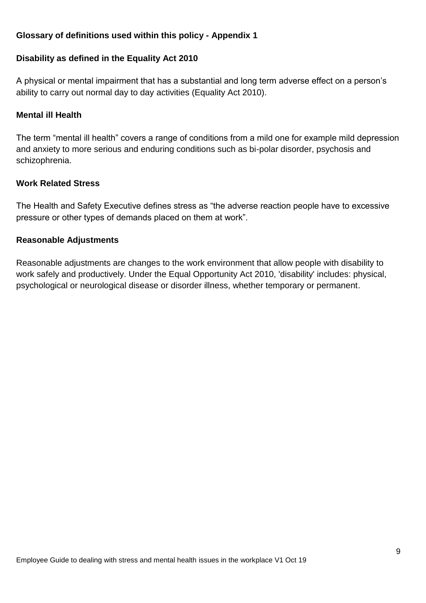#### **Glossary of definitions used within this policy - Appendix 1**

#### **Disability as defined in the Equality Act 2010**

A physical or mental impairment that has a substantial and long term adverse effect on a person's ability to carry out normal day to day activities (Equality Act 2010).

#### **Mental ill Health**

The term "mental ill health" covers a range of conditions from a mild one for example mild depression and anxiety to more serious and enduring conditions such as bi-polar disorder, psychosis and schizophrenia.

#### **Work Related Stress**

The Health and Safety Executive defines stress as "the adverse reaction people have to excessive pressure or other types of demands placed on them at work".

#### **Reasonable Adjustments**

Reasonable adjustments are changes to the work environment that allow people with disability to work safely and productively. Under the Equal Opportunity Act 2010, 'disability' includes: physical, psychological or neurological disease or disorder illness, whether temporary or permanent.